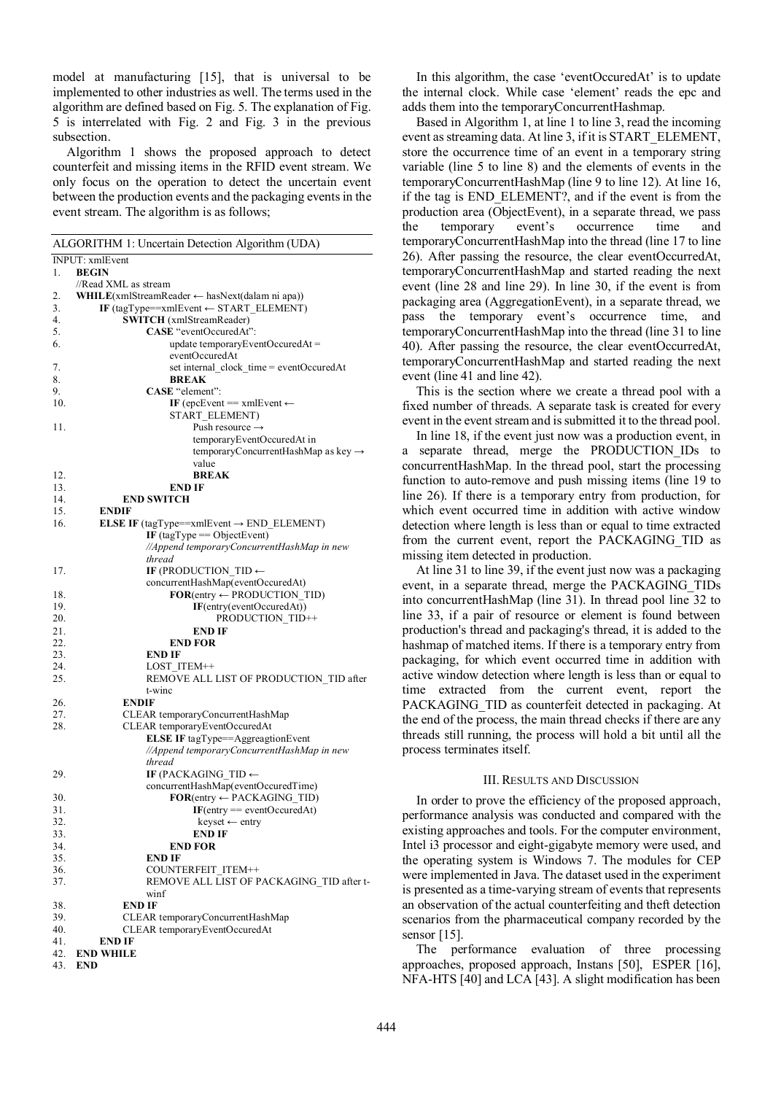model at manufacturing [15], that is universal to be implemented to other industries as well. The terms used in the algorithm are defined based on Fig. 5. The explanation of Fig. 5 is interrelated with Fig. 2 and Fig. 3 in the previous subsection.

Algorithm 1 shows the proposed approach to detect counterfeit and missing items in the RFID event stream. We only focus on the operation to detect the uncertain event between the production events and the packaging events in the event stream. The algorithm is as follows;

| ALGORITHM 1: Uncertain Detection Algorithm (UDA) |                                                              |
|--------------------------------------------------|--------------------------------------------------------------|
| INPUT: xmlEvent                                  |                                                              |
| 1.                                               | <b>BEGIN</b>                                                 |
|                                                  | //Read XML as stream                                         |
| 2.                                               | WHILE(xmlStreamReader ← hasNext(dalam ni apa))               |
| 3.                                               | IF (tagType==xmlEvent $\leftarrow$ START ELEMENT)            |
|                                                  |                                                              |
| 4.                                               | <b>SWITCH</b> (xmlStreamReader)                              |
| 5.                                               | CASE "eventOccuredAt":                                       |
| 6.                                               | update temporaryEventOccuredAt =                             |
|                                                  | eventOccuredAt                                               |
| 7.                                               | set internal clock time = eventOccuredAt                     |
| 8.                                               | <b>BREAK</b>                                                 |
| 9.                                               | CASE "element":                                              |
| 10.                                              | IF (epcEvent = $x$ mlEvent $\leftarrow$                      |
|                                                  | START_ELEMENT)                                               |
| 11.                                              | Push resource $\rightarrow$                                  |
|                                                  |                                                              |
|                                                  | temporaryEventOccuredAt in                                   |
|                                                  | temporaryConcurrentHashMap as key →                          |
|                                                  | value                                                        |
| 12.                                              | <b>BREAK</b>                                                 |
| 13.                                              | <b>END IF</b>                                                |
| 14.                                              | <b>END SWITCH</b>                                            |
| 15.                                              | <b>ENDIF</b>                                                 |
| 16.                                              | <b>ELSE IF</b> (tagType==xmlEvent $\rightarrow$ END ELEMENT) |
|                                                  |                                                              |
|                                                  | IF $(tagType == ObjectEvent)$                                |
|                                                  | //Append temporaryConcurrentHashMap in new                   |
|                                                  | thread                                                       |
| 17.                                              | IF (PRODUCTION TID $\leftarrow$                              |
|                                                  | concurrentHashMap(eventOccuredAt)                            |
| 18.                                              | $FOR(entry \leftarrow PRODUCTION TID)$                       |
| 19.                                              | IF(entry(eventOccuredAt))                                    |
| 20.                                              | PRODUCTION TID++                                             |
|                                                  |                                                              |
| 21.                                              | <b>END IF</b>                                                |
| 22.                                              | <b>END FOR</b>                                               |
| 23.                                              | <b>END IF</b>                                                |
| 24.                                              | LOST ITEM++                                                  |
| 25.                                              | REMOVE ALL LIST OF PRODUCTION_TID after                      |
|                                                  | t-winc                                                       |
| 26.                                              | <b>ENDIF</b>                                                 |
| 27.                                              | CLEAR temporaryConcurrentHashMap                             |
| 28.                                              | CLEAR temporaryEventOccuredAt                                |
|                                                  | <b>ELSE IF</b> tagType==AggreagtionEvent                     |
|                                                  |                                                              |
|                                                  | //Append temporaryConcurrentHashMap in new                   |
|                                                  | thread                                                       |
| 29.                                              | IF (PACKAGING TID $\leftarrow$                               |
|                                                  | concurrentHashMap(eventOccuredTime)                          |
| 30.                                              | $FOR(entry \leftarrow PACKAGING_TID)$                        |
| 31.                                              | $IF(entry == eventOccuredAt)$                                |
| 32.                                              | keyset ← entry                                               |
| 33.                                              | END IF                                                       |
|                                                  |                                                              |
| 34.                                              | <b>END FOR</b>                                               |
| 35.                                              | <b>END IF</b>                                                |
| 36.                                              | COUNTERFEIT ITEM++                                           |
| 37.                                              | REMOVE ALL LIST OF PACKAGING TID after t-                    |
|                                                  | winf                                                         |
| 38.                                              | <b>END IF</b>                                                |
| 39.                                              | CLEAR temporaryConcurrentHashMap                             |
| 40.                                              | CLEAR temporaryEventOccuredAt                                |
| 41.                                              |                                                              |
|                                                  | <b>END IF</b>                                                |
| 42.                                              | <b>END WHILE</b>                                             |
| 43.                                              | <b>END</b>                                                   |

In this algorithm, the case 'eventOccuredAt' is to update the internal clock. While case 'element' reads the epc and adds them into the temporaryConcurrentHashmap.

Based in Algorithm 1, at line 1 to line 3, read the incoming event as streaming data. At line 3, if it is START\_ELEMENT, store the occurrence time of an event in a temporary string variable (line 5 to line 8) and the elements of events in the temporaryConcurrentHashMap (line 9 to line 12). At line 16, if the tag is END\_ELEMENT?, and if the event is from the production area (ObjectEvent), in a separate thread, we pass the temporary event's occurrence time and temporaryConcurrentHashMap into the thread (line 17 to line 26). After passing the resource, the clear eventOccurredAt, temporaryConcurrentHashMap and started reading the next event (line 28 and line 29). In line 30, if the event is from packaging area (AggregationEvent), in a separate thread, we pass the temporary event's occurrence time, and temporaryConcurrentHashMap into the thread (line 31 to line 40). After passing the resource, the clear eventOccurredAt, temporaryConcurrentHashMap and started reading the next event (line 41 and line 42).

This is the section where we create a thread pool with a fixed number of threads. A separate task is created for every event in the event stream and is submitted it to the thread pool.

In line 18, if the event just now was a production event, in a separate thread, merge the PRODUCTION IDs to concurrentHashMap. In the thread pool, start the processing function to auto-remove and push missing items (line 19 to line 26). If there is a temporary entry from production, for which event occurred time in addition with active window detection where length is less than or equal to time extracted from the current event, report the PACKAGING\_TID as missing item detected in production.

At line 31 to line 39, if the event just now was a packaging event, in a separate thread, merge the PACKAGING\_TIDs into concurrentHashMap (line 31). In thread pool line 32 to line 33, if a pair of resource or element is found between production's thread and packaging's thread, it is added to the hashmap of matched items. If there is a temporary entry from packaging, for which event occurred time in addition with active window detection where length is less than or equal to time extracted from the current event, report the PACKAGING TID as counterfeit detected in packaging. At the end of the process, the main thread checks if there are any threads still running, the process will hold a bit until all the process terminates itself.

# III. RESULTS AND DISCUSSION

In order to prove the efficiency of the proposed approach, performance analysis was conducted and compared with the existing approaches and tools. For the computer environment, Intel i3 processor and eight-gigabyte memory were used, and the operating system is Windows 7. The modules for CEP were implemented in Java. The dataset used in the experiment is presented as a time-varying stream of events that represents an observation of the actual counterfeiting and theft detection scenarios from the pharmaceutical company recorded by the sensor [15].

The performance evaluation of three processing approaches, proposed approach, Instans [50], ESPER [16], NFA-HTS [40] and LCA [43]. A slight modification has been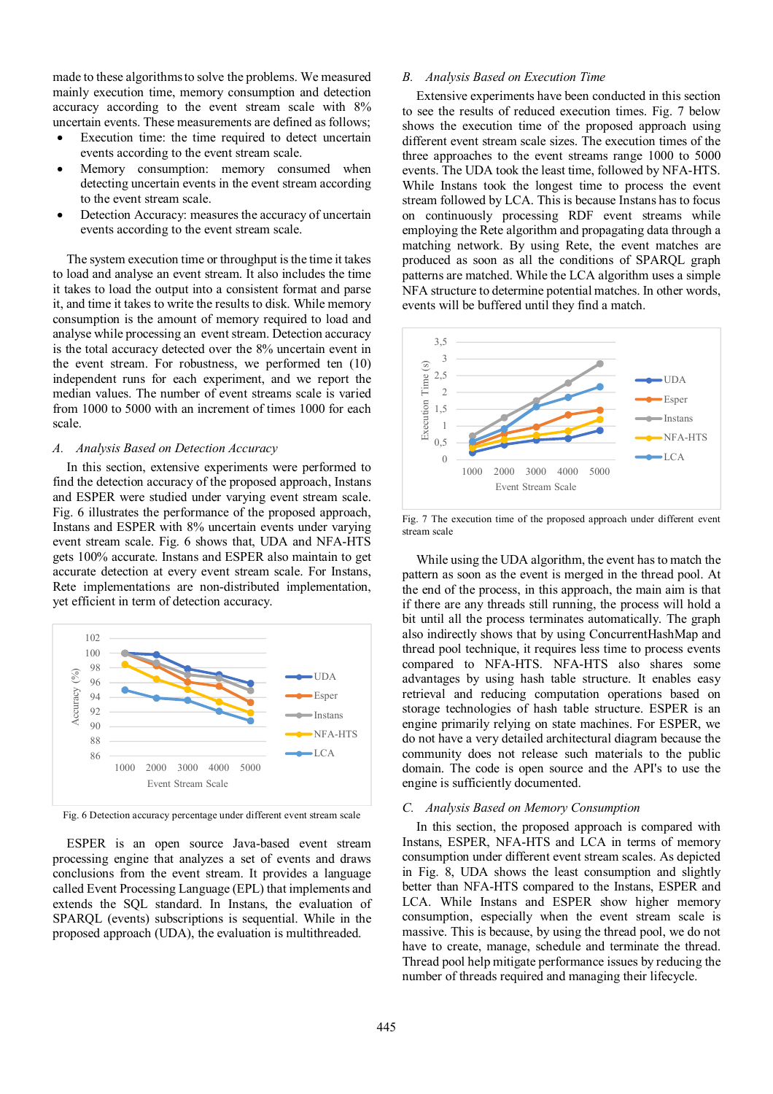made to these algorithms to solve the problems. We measured mainly execution time, memory consumption and detection accuracy according to the event stream scale with 8% uncertain events. These measurements are defined as follows;

- Execution time: the time required to detect uncertain events according to the event stream scale.
- Memory consumption: memory consumed when detecting uncertain events in the event stream according to the event stream scale.
- Detection Accuracy: measures the accuracy of uncertain events according to the event stream scale.

The system execution time or throughput is the time it takes to load and analyse an event stream. It also includes the time it takes to load the output into a consistent format and parse it, and time it takes to write the results to disk. While memory consumption is the amount of memory required to load and analyse while processing an event stream. Detection accuracy is the total accuracy detected over the 8% uncertain event in the event stream. For robustness, we performed ten (10) independent runs for each experiment, and we report the median values. The number of event streams scale is varied from 1000 to 5000 with an increment of times 1000 for each scale.

### *A. Analysis Based on Detection Accuracy*

In this section, extensive experiments were performed to find the detection accuracy of the proposed approach, Instans and ESPER were studied under varying event stream scale. Fig. 6 illustrates the performance of the proposed approach, Instans and ESPER with 8% uncertain events under varying event stream scale. Fig. 6 shows that, UDA and NFA-HTS gets 100% accurate. Instans and ESPER also maintain to get accurate detection at every event stream scale. For Instans, Rete implementations are non-distributed implementation, yet efficient in term of detection accuracy.



Fig. 6 Detection accuracy percentage under different event stream scale

ESPER is an open source Java-based event stream processing engine that analyzes a set of events and draws conclusions from the event stream. It provides a language called Event Processing Language (EPL) that implements and extends the SQL standard. In Instans, the evaluation of SPARQL (events) subscriptions is sequential. While in the proposed approach (UDA), the evaluation is multithreaded.

# *B. Analysis Based on Execution Time*

Extensive experiments have been conducted in this section to see the results of reduced execution times. Fig. 7 below shows the execution time of the proposed approach using different event stream scale sizes. The execution times of the three approaches to the event streams range 1000 to 5000 events. The UDA took the least time, followed by NFA-HTS. While Instans took the longest time to process the event stream followed by LCA. This is because Instans has to focus on continuously processing RDF event streams while employing the Rete algorithm and propagating data through a matching network. By using Rete, the event matches are produced as soon as all the conditions of SPARQL graph patterns are matched. While the LCA algorithm uses a simple NFA structure to determine potential matches. In other words, events will be buffered until they find a match.



Fig. 7 The execution time of the proposed approach under different event stream scale

While using the UDA algorithm, the event has to match the pattern as soon as the event is merged in the thread pool. At the end of the process, in this approach, the main aim is that if there are any threads still running, the process will hold a bit until all the process terminates automatically. The graph also indirectly shows that by using ConcurrentHashMap and thread pool technique, it requires less time to process events compared to NFA-HTS. NFA-HTS also shares some advantages by using hash table structure. It enables easy retrieval and reducing computation operations based on storage technologies of hash table structure. ESPER is an engine primarily relying on state machines. For ESPER, we do not have a very detailed architectural diagram because the community does not release such materials to the public domain. The code is open source and the API's to use the engine is sufficiently documented.

#### *C. Analysis Based on Memory Consumption*

In this section, the proposed approach is compared with Instans, ESPER, NFA-HTS and LCA in terms of memory consumption under different event stream scales. As depicted in Fig. 8, UDA shows the least consumption and slightly better than NFA-HTS compared to the Instans, ESPER and LCA. While Instans and ESPER show higher memory consumption, especially when the event stream scale is massive. This is because, by using the thread pool, we do not have to create, manage, schedule and terminate the thread. Thread pool help mitigate performance issues by reducing the number of threads required and managing their lifecycle.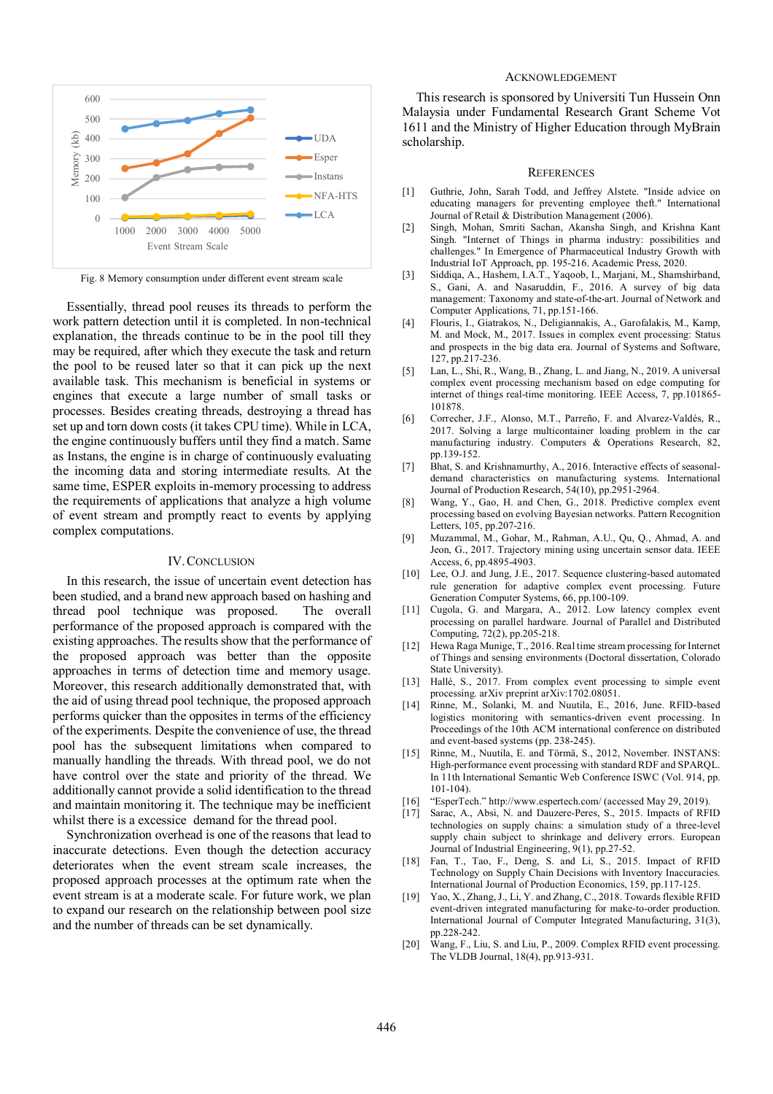

Fig. 8 Memory consumption under different event stream scale

Essentially, thread pool reuses its threads to perform the work pattern detection until it is completed. In non-technical explanation, the threads continue to be in the pool till they may be required, after which they execute the task and return the pool to be reused later so that it can pick up the next available task. This mechanism is beneficial in systems or engines that execute a large number of small tasks or processes. Besides creating threads, destroying a thread has set up and torn down costs (it takes CPU time). While in LCA, the engine continuously buffers until they find a match. Same as Instans, the engine is in charge of continuously evaluating the incoming data and storing intermediate results. At the same time, ESPER exploits in-memory processing to address the requirements of applications that analyze a high volume of event stream and promptly react to events by applying complex computations.

### IV.CONCLUSION

In this research, the issue of uncertain event detection has been studied, and a brand new approach based on hashing and thread pool technique was proposed. The overall performance of the proposed approach is compared with the existing approaches. The results show that the performance of the proposed approach was better than the opposite approaches in terms of detection time and memory usage. Moreover, this research additionally demonstrated that, with the aid of using thread pool technique, the proposed approach performs quicker than the opposites in terms of the efficiency of the experiments. Despite the convenience of use, the thread pool has the subsequent limitations when compared to manually handling the threads. With thread pool, we do not have control over the state and priority of the thread. We additionally cannot provide a solid identification to the thread and maintain monitoring it. The technique may be inefficient whilst there is a excessice demand for the thread pool.

Synchronization overhead is one of the reasons that lead to inaccurate detections. Even though the detection accuracy deteriorates when the event stream scale increases, the proposed approach processes at the optimum rate when the event stream is at a moderate scale. For future work, we plan to expand our research on the relationship between pool size and the number of threads can be set dynamically.

### ACKNOWLEDGEMENT

This research is sponsored by Universiti Tun Hussein Onn Malaysia under Fundamental Research Grant Scheme Vot 1611 and the Ministry of Higher Education through MyBrain scholarship.

#### **REFERENCES**

- [1] Guthrie, John, Sarah Todd, and Jeffrey Alstete. "Inside advice on educating managers for preventing employee theft." International Journal of Retail & Distribution Management (2006).
- [2] Singh, Mohan, Smriti Sachan, Akansha Singh, and Krishna Kant Singh. "Internet of Things in pharma industry: possibilities and challenges." In Emergence of Pharmaceutical Industry Growth with Industrial IoT Approach, pp. 195-216. Academic Press, 2020.
- [3] Siddiqa, A., Hashem, I.A.T., Yaqoob, I., Marjani, M., Shamshirband, S., Gani, A. and Nasaruddin, F., 2016. A survey of big data management: Taxonomy and state-of-the-art. Journal of Network and Computer Applications, 71, pp.151-166.
- [4] Flouris, I., Giatrakos, N., Deligiannakis, A., Garofalakis, M., Kamp, M. and Mock, M., 2017. Issues in complex event processing: Status and prospects in the big data era. Journal of Systems and Software, 127, pp.217-236.
- [5] Lan, L., Shi, R., Wang, B., Zhang, L. and Jiang, N., 2019. A universal complex event processing mechanism based on edge computing for internet of things real-time monitoring. IEEE Access, 7, pp.101865- 101878.
- [6] Correcher, J.F., Alonso, M.T., Parreño, F. and Alvarez-Valdés, R., 2017. Solving a large multicontainer loading problem in the car manufacturing industry. Computers & Operations Research, 82, pp.139-152.
- [7] Bhat, S. and Krishnamurthy, A., 2016. Interactive effects of seasonaldemand characteristics on manufacturing systems. International Journal of Production Research, 54(10), pp.2951-2964.
- [8] Wang, Y., Gao, H. and Chen, G., 2018. Predictive complex event processing based on evolving Bayesian networks. Pattern Recognition Letters, 105, pp.207-216.
- [9] Muzammal, M., Gohar, M., Rahman, A.U., Qu, Q., Ahmad, A. and Jeon, G., 2017. Trajectory mining using uncertain sensor data. IEEE Access, 6, pp.4895-4903.
- [10] Lee, O.J. and Jung, J.E., 2017. Sequence clustering-based automated rule generation for adaptive complex event processing. Future Generation Computer Systems, 66, pp.100-109.
- [11] Cugola, G. and Margara, A., 2012. Low latency complex event processing on parallel hardware. Journal of Parallel and Distributed Computing, 72(2), pp.205-218.
- [12] Hewa Raga Munige, T., 2016. Real time stream processing for Internet of Things and sensing environments (Doctoral dissertation, Colorado State University).
- [13] Hallé, S., 2017. From complex event processing to simple event processing. arXiv preprint arXiv:1702.08051.
- [14] Rinne, M., Solanki, M. and Nuutila, E., 2016, June. RFID-based logistics monitoring with semantics-driven event processing. In Proceedings of the 10th ACM international conference on distributed and event-based systems (pp. 238-245).
- [15] Rinne, M., Nuutila, E. and Törmä, S., 2012, November. INSTANS: High-performance event processing with standard RDF and SPARQL. In 11th International Semantic Web Conference ISWC (Vol. 914, pp. 101-104).
- [16] "EsperTech." http://www.espertech.com/ (accessed May 29, 2019).
- [17] Sarac, A., Absi, N. and Dauzere-Peres, S., 2015. Impacts of RFID technologies on supply chains: a simulation study of a three-level supply chain subject to shrinkage and delivery errors. European Journal of Industrial Engineering, 9(1), pp.27-52.
- [18] Fan, T., Tao, F., Deng, S. and Li, S., 2015. Impact of RFID Technology on Supply Chain Decisions with Inventory Inaccuracies. International Journal of Production Economics, 159, pp.117-125.
- [19] Yao, X., Zhang, J., Li, Y. and Zhang, C., 2018. Towards flexible RFID event-driven integrated manufacturing for make-to-order production. International Journal of Computer Integrated Manufacturing, 31(3), pp.228-242.
- [20] Wang, F., Liu, S. and Liu, P., 2009. Complex RFID event processing. The VLDB Journal, 18(4), pp.913-931.